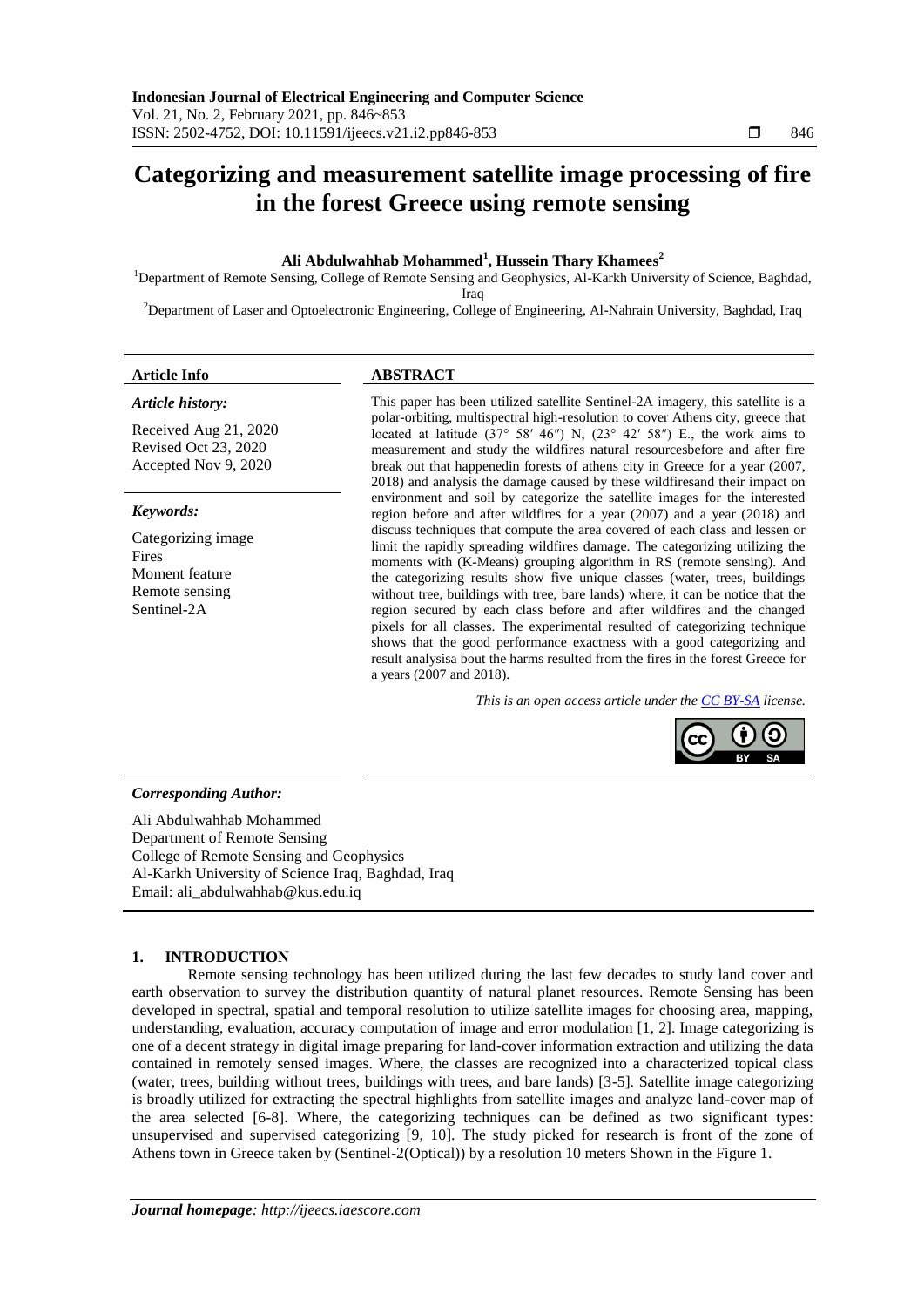# **Categorizing and measurement satellite image processing of fire in the forest Greece using remote sensing**

# **Ali Abdulwahhab Mohammed<sup>1</sup> , Hussein Thary Khamees<sup>2</sup>**

<sup>1</sup>Department of Remote Sensing, College of Remote Sensing and Geophysics, Al-Karkh University of Science, Baghdad, Iraq

<sup>2</sup>Department of Laser and Optoelectronic Engineering, College of Engineering, Al-Nahrain University, Baghdad, Iraq

#### *Article history:*

Received Aug 21, 2020 Revised Oct 23, 2020 Accepted Nov 9, 2020

# *Keywords:*

Categorizing image Fires Moment feature Remote sensing Sentinel-2A

# **Article Info ABSTRACT**

This paper has been utilized satellite Sentinel-2A imagery, this satellite is a polar-orbiting, multispectral high-resolution to cover Athens city, greece that located at latitude (37° 58′ 46″) N, (23° 42′ 58″) E., the work aims to measurement and study the wildfires natural resourcesbefore and after fire break out that happenedin forests of athens city in Greece for a year (2007, 2018) and analysis the damage caused by these wildfiresand their impact on environment and soil by categorize the satellite images for the interested region before and after wildfires for a year (2007) and a year (2018) and discuss techniques that compute the area covered of each class and lessen or limit the rapidly spreading wildfires damage. The categorizing utilizing the moments with (K-Means) grouping algorithm in RS (remote sensing). And the categorizing results show five unique classes (water, trees, buildings without tree, buildings with tree, bare lands) where, it can be notice that the region secured by each class before and after wildfires and the changed pixels for all classes. The experimental resulted of categorizing technique shows that the good performance exactness with a good categorizing and result analysisa bout the harms resulted from the fires in the forest Greece for a years (2007 and 2018).

*This is an open access article under the [CC BY-SA](https://creativecommons.org/licenses/by-sa/4.0/) license.*



#### *Corresponding Author:*

Ali Abdulwahhab Mohammed Department of Remote Sensing College of Remote Sensing and Geophysics Al-Karkh University of Science Iraq, Baghdad, Iraq Email: [ali\\_abdulwahhab@kus.edu.iq](mailto:ali_abdulwahhab@kus.edu.iq)

# **1. INTRODUCTION**

Remote sensing technology has been utilized during the last few decades to study land cover and earth observation to survey the distribution quantity of natural planet resources. Remote Sensing has been developed in spectral, spatial and temporal resolution to utilize satellite images for choosing area, mapping, understanding, evaluation, accuracy computation of image and error modulation [1, 2]. Image categorizing is one of a decent strategy in digital image preparing for land-cover information extraction and utilizing the data contained in remotely sensed images. Where, the classes are recognized into a characterized topical class (water, trees, building without trees, buildings with trees, and bare lands) [3-5]. Satellite image categorizing is broadly utilized for extracting the spectral highlights from satellite images and analyze land-cover map of the area selected [6-8]. Where, the categorizing techniques can be defined as two significant types: unsupervised and supervised categorizing [9, 10]. The study picked for research is front of the zone of Athens town in Greece taken by (Sentinel-2(Optical)) by a resolution 10 meters Shown in the Figure 1.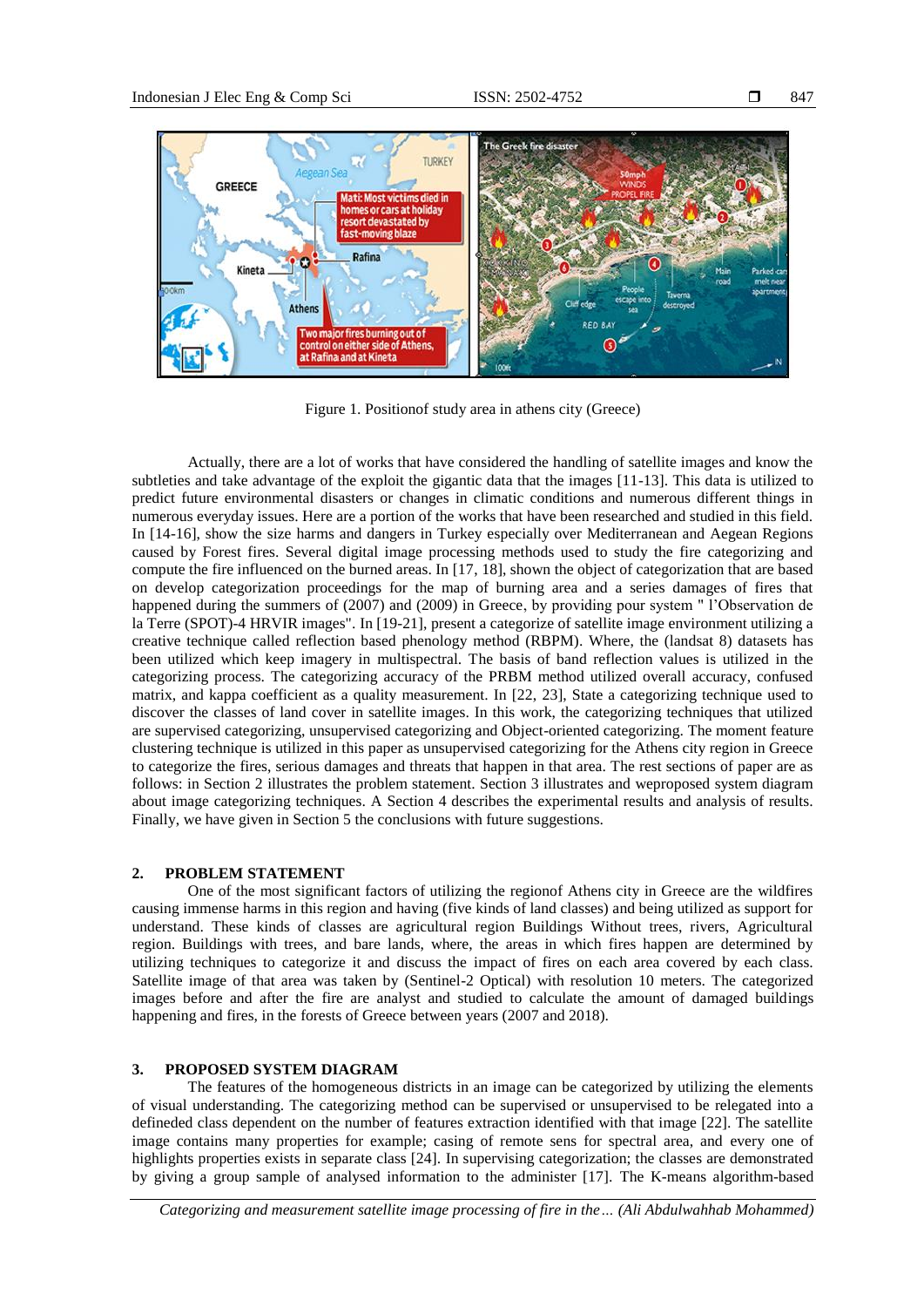

Figure 1. Positionof study area in athens city (Greece)

Actually, there are a lot of works that have considered the handling of satellite images and know the subtleties and take advantage of the exploit the gigantic data that the images [11-13]. This data is utilized to predict future environmental disasters or changes in climatic conditions and numerous different things in numerous everyday issues. Here are a portion of the works that have been researched and studied in this field. In [14-16], show the size harms and dangers in Turkey especially over Mediterranean and Aegean Regions caused by Forest fires. Several digital image processing methods used to study the fire categorizing and compute the fire influenced on the burned areas. In [17, 18], shown the object of categorization that are based on develop categorization proceedings for the map of burning area and a series damages of fires that happened during the summers of (2007) and (2009) in Greece, by providing pour system " l'Observation de la Terre (SPOT)-4 HRVIR images". In [19-21], present a categorize of satellite image environment utilizing a creative technique called reflection based phenology method (RBPM). Where, the (landsat 8) datasets has been utilized which keep imagery in multispectral. The basis of band reflection values is utilized in the categorizing process. The categorizing accuracy of the PRBM method utilized overall accuracy, confused matrix, and kappa coefficient as a quality measurement. In [22, 23], State a categorizing technique used to discover the classes of land cover in satellite images. In this work, the categorizing techniques that utilized are supervised categorizing, unsupervised categorizing and Object-oriented categorizing. The moment feature clustering technique is utilized in this paper as unsupervised categorizing for the Athens city region in Greece to categorize the fires, serious damages and threats that happen in that area. The rest sections of paper are as follows: in Section 2 illustrates the problem statement. Section 3 illustrates and weproposed system diagram about image categorizing techniques. A Section 4 describes the experimental results and analysis of results. Finally, we have given in Section 5 the conclusions with future suggestions.

# **2. PROBLEM STATEMENT**

One of the most significant factors of utilizing the regionof Athens city in Greece are the wildfires causing immense harms in this region and having (five kinds of land classes) and being utilized as support for understand. These kinds of classes are agricultural region Buildings Without trees, rivers, Agricultural region. Buildings with trees, and bare lands, where, the areas in which fires happen are determined by utilizing techniques to categorize it and discuss the impact of fires on each area covered by each class. Satellite image of that area was taken by (Sentinel-2 Optical) with resolution 10 meters. The categorized images before and after the fire are analyst and studied to calculate the amount of damaged buildings happening and fires, in the forests of Greece between years (2007 and 2018).

# **3. PROPOSED SYSTEM DIAGRAM**

The features of the homogeneous districts in an image can be categorized by utilizing the elements of visual understanding. The categorizing method can be supervised or unsupervised to be relegated into a defineded class dependent on the number of features extraction identified with that image [22]. The satellite image contains many properties for example; casing of remote sens for spectral area, and every one of highlights properties exists in separate class [24]. In supervising categorization; the classes are demonstrated by giving a group sample of analysed information to the administer [17]. The K-means algorithm-based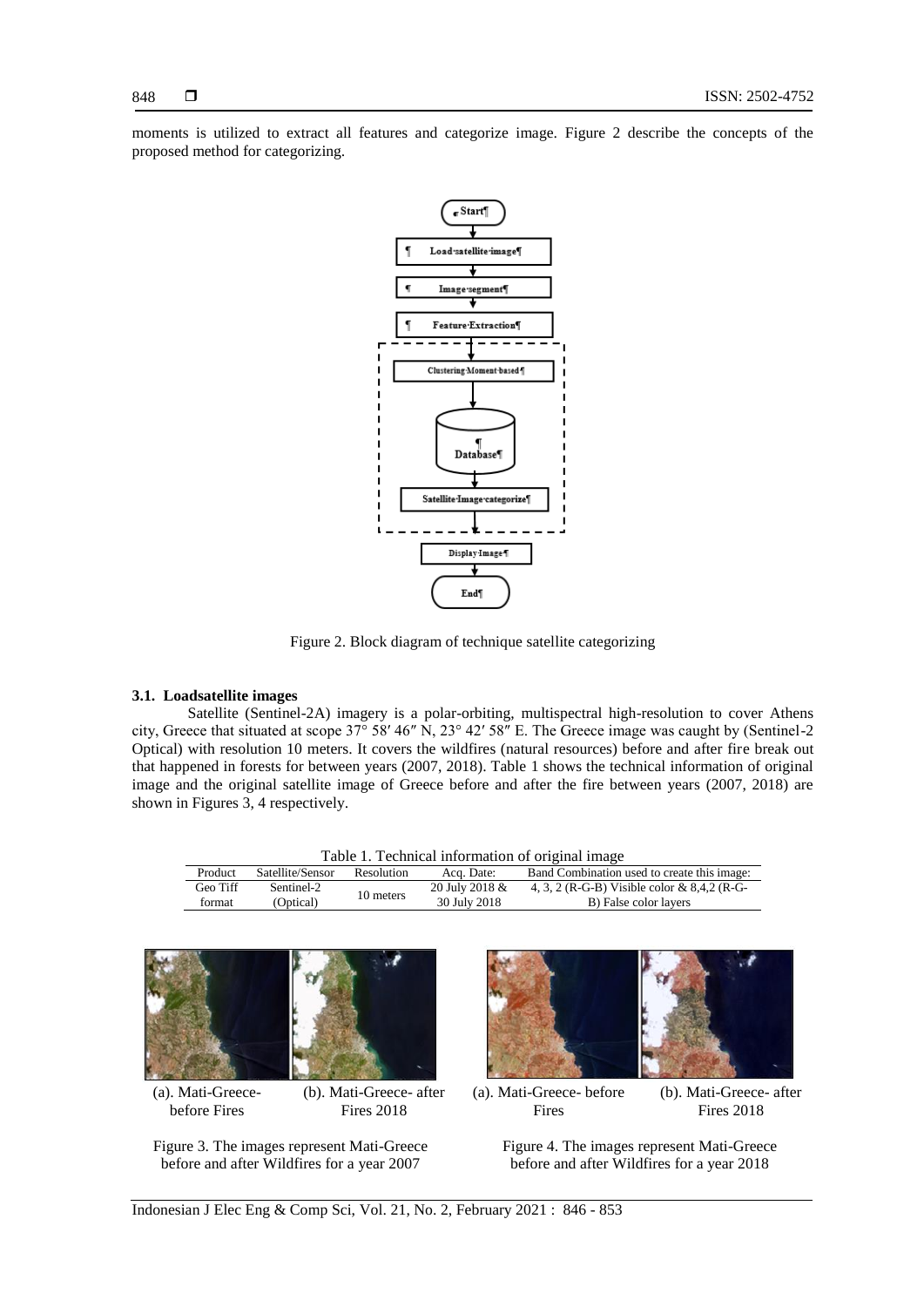moments is utilized to extract all features and categorize image. Figure 2 describe the concepts of the proposed method for categorizing.



Figure 2. Block diagram of technique satellite categorizing

#### **3.1. Loadsatellite images**

Satellite (Sentinel-2A) imagery is a polar-orbiting, multispectral high-resolution to cover Athens city, Greece that situated at scope 37° 58′ 46″ N, 23° 42′ 58″ E. The Greece image was caught by (Sentinel-2 Optical) with resolution 10 meters. It covers the wildfires (natural resources) before and after fire break out that happened in forests for between years (2007, 2018). Table 1 shows the technical information of original image and the original satellite image of Greece before and after the fire between years (2007, 2018) are shown in Figures 3, 4 respectively.

| Table 1. Technical information of original image |                  |            |                |                                             |  |  |  |
|--------------------------------------------------|------------------|------------|----------------|---------------------------------------------|--|--|--|
| Product                                          | Satellite/Sensor | Resolution | Acq. Date:     | Band Combination used to create this image: |  |  |  |
| Geo Tiff                                         | Sentinel-2       | 10 meters  | 20 July 2018 & | 4, 3, 2 (R-G-B) Visible color & 8,4,2 (R-G- |  |  |  |
| format                                           | (Optical)        |            | 30 July 2018   | B) False color layers                       |  |  |  |



(a). Mati-Greecebefore Fires

(b). Mati-Greece- after Fires 2018

Figure 3. The images represent Mati-Greece before and after Wildfires for a year 2007



(a). Mati-Greece- before Fires

(b). Mati-Greece- after Fires 2018

Figure 4. The images represent Mati-Greece before and after Wildfires for a year 2018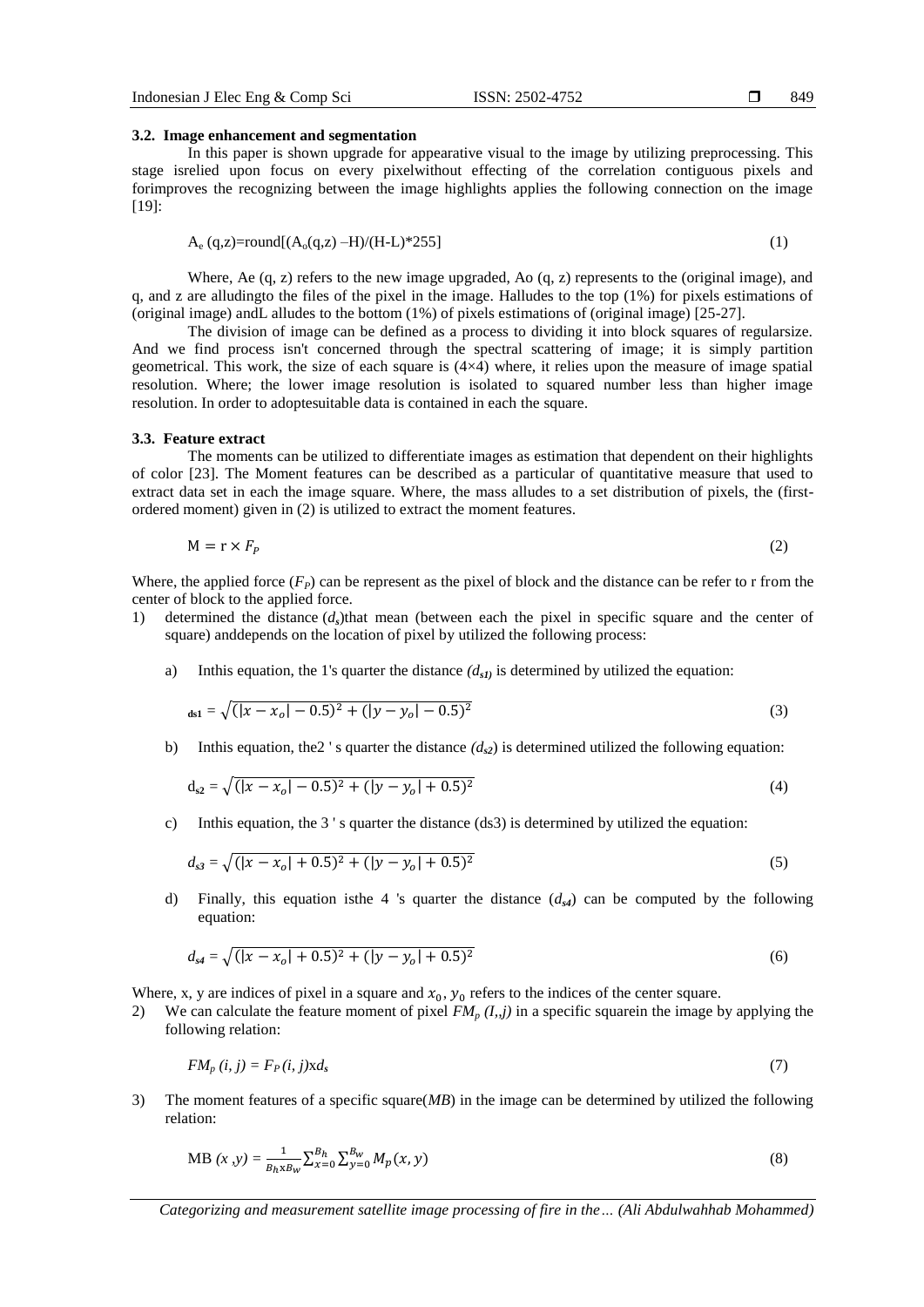#### 849

#### **3.2. Image enhancement and segmentation**

In this paper is shown upgrade for appearative visual to the image by utilizing preprocessing. This stage isrelied upon focus on every pixelwithout effecting of the correlation contiguous pixels and forimproves the recognizing between the image highlights applies the following connection on the image [19]:

$$
A_e (q, z) = round[(A_o(q, z) - H)/(H-L)*255]
$$
\n(1)

Where, Ae (q, z) refers to the new image upgraded, Ao (q, z) represents to the (original image), and q, and z are alludingto the files of the pixel in the image. Halludes to the top (1%) for pixels estimations of (original image) andL alludes to the bottom (1%) of pixels estimations of (original image) [25-27].

The division of image can be defined as a process to dividing it into block squares of regularsize. And we find process isn't concerned through the spectral scattering of image; it is simply partition geometrical. This work, the size of each square is  $(4\times4)$  where, it relies upon the measure of image spatial resolution. Where; the lower image resolution is isolated to squared number less than higher image resolution. In order to adoptesuitable data is contained in each the square.

#### **3.3. Feature extract**

The moments can be utilized to differentiate images as estimation that dependent on their highlights of color [23]. The Moment features can be described as a particular of quantitative measure that used to extract data set in each the image square. Where, the mass alludes to a set distribution of pixels, the (firstordered moment) given in (2) is utilized to extract the moment features.

$$
M = r \times F_P \tag{2}
$$

Where, the applied force  $(F_P)$  can be represent as the pixel of block and the distance can be refer to r from the center of block to the applied force.

- 1) determined the distance  $(d<sub>s</sub>)$ that mean (between each the pixel in specific square and the center of square) anddepends on the location of pixel by utilized the following process:
	- a) Inthis equation, the 1's quarter the distance *(ds1)* is determined by utilized the equation:

$$
ds_1 = \sqrt{(|x - x_o| - 0.5)^2 + (|y - y_o| - 0.5)^2}
$$
 (3)

b) Inthis equation, the 2's quarter the distance  $(d_{s2})$  is determined utilized the following equation:

$$
d_{s2} = \sqrt{(|x - x_o| - 0.5)^2 + (|y - y_o| + 0.5)^2}
$$
 (4)

c) Inthis equation, the 3 ' s quarter the distance (ds3) is determined by utilized the equation:

$$
d_{s3} = \sqrt{(|x - x_o| + 0.5)^2 + (|y - y_o| + 0.5)^2}
$$
\n(5)

d) Finally, this equation isthe 4 's quarter the distance (*ds4*) can be computed by the following equation:

$$
d_{s4} = \sqrt{(|x - x_o| + 0.5)^2 + (|y - y_o| + 0.5)^2}
$$
 (6)

Where, x, y are indices of pixel in a square and  $x_0$ ,  $y_0$  refers to the indices of the center square.

2) We can calculate the feature moment of pixel  $FM_p (I, j)$  in a specific squarein the image by applying the following relation:

$$
FM_p(i, j) = F_P(i, j) \times d_s \tag{7}
$$

3) The moment features of a specific square(*MB*) in the image can be determined by utilized the following relation:

MB 
$$
(x, y) = \frac{1}{B_h x B_w} \sum_{x=0}^{B_h} \sum_{y=0}^{B_w} M_p(x, y)
$$
 (8)

*Categorizing and measurement satellite image processing of fire in the… (Ali Abdulwahhab Mohammed)*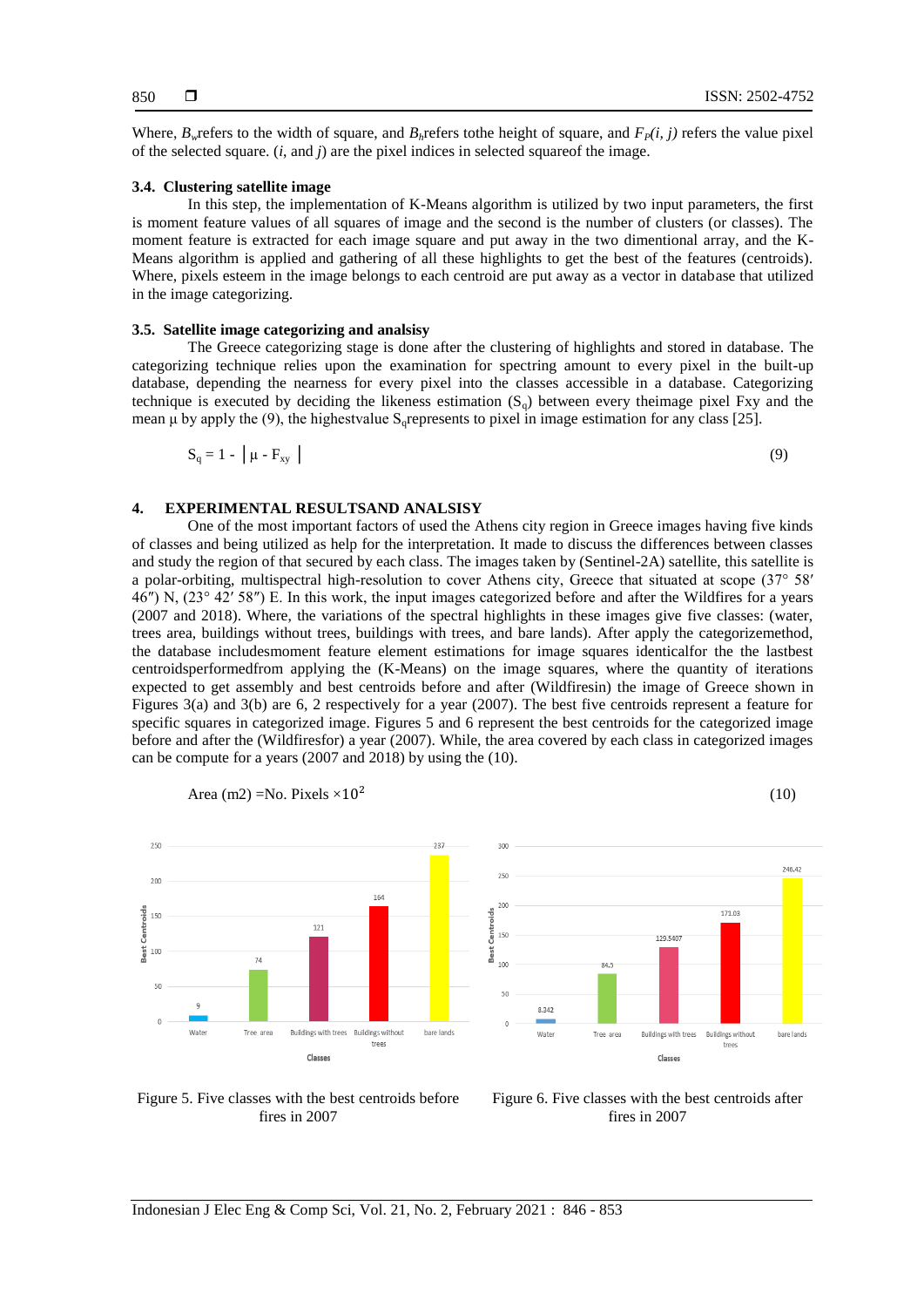(10)

Where,  $B_w$  refers to the width of square, and  $B_h$  refers tothe height of square, and  $F_P(i, j)$  refers the value pixel of the selected square. (*i*, and *j*) are the pixel indices in selected squareof the image.

#### **3.4. Clustering satellite image**

In this step, the implementation of K-Means algorithm is utilized by two input parameters, the first is moment feature values of all squares of image and the second is the number of clusters (or classes). The moment feature is extracted for each image square and put away in the two dimentional array, and the K-Means algorithm is applied and gathering of all these highlights to get the best of the features (centroids). Where, pixels esteem in the image belongs to each centroid are put away as a vector in database that utilized in the image categorizing.

# **3.5. Satellite image categorizing and analsisy**

The Greece categorizing stage is done after the clustering of highlights and stored in database. The categorizing technique relies upon the examination for spectring amount to every pixel in the built-up database, depending the nearness for every pixel into the classes accessible in a database. Categorizing technique is executed by deciding the likeness estimation  $(S_q)$  between every theimage pixel Fxy and the mean μ by apply the (9), the highestvalue  $S<sub>o</sub>$  represents to pixel in image estimation for any class [25].

$$
S_q = 1 - \left[ \mu - F_{xy} \right] \tag{9}
$$

### **4. EXPERIMENTAL RESULTSAND ANALSISY**

One of the most important factors of used the Athens city region in Greece images having five kinds of classes and being utilized as help for the interpretation. It made to discuss the differences between classes and study the region of that secured by each class. The images taken by (Sentinel-2A) satellite, this satellite is a polar-orbiting, multispectral high-resolution to cover Athens city, Greece that situated at scope (37° 58′ 46″) N, (23° 42′ 58″) E. In this work, the input images categorized before and after the Wildfires for a years (2007 and 2018). Where, the variations of the spectral highlights in these images give five classes: (water, trees area, buildings without trees, buildings with trees, and bare lands). After apply the categorizemethod, the database includesmoment feature element estimations for image squares identicalfor the the lastbest centroidsperformedfrom applying the (K-Means) on the image squares, where the quantity of iterations expected to get assembly and best centroids before and after (Wildfiresin) the image of Greece shown in Figures 3(a) and 3(b) are 6, 2 respectively for a year (2007). The best five centroids represent a feature for specific squares in categorized image. Figures 5 and 6 represent the best centroids for the categorized image before and after the (Wildfiresfor) a year (2007). While, the area covered by each class in categorized images can be compute for a years (2007 and 2018) by using the (10).



Area (m2) =No. Pixels 
$$
\times 10^2
$$

Figure 5. Five classes with the best centroids before fires in 2007

Figure 6. Five classes with the best centroids after fires in 2007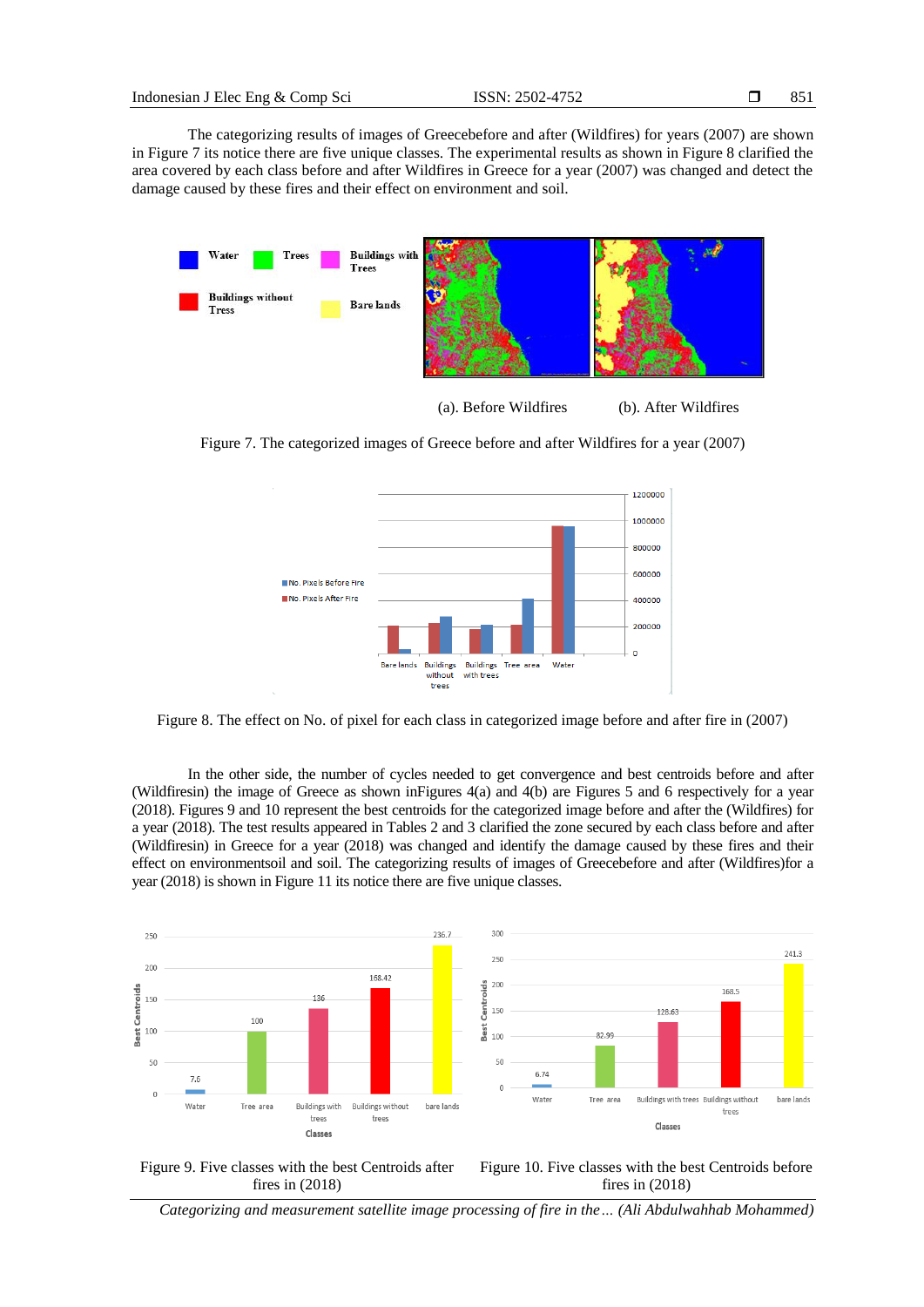The categorizing results of images of Greecebefore and after (Wildfires) for years (2007) are shown in Figure 7 its notice there are five unique classes. The experimental results as shown in Figure 8 clarified the area covered by each class before and after Wildfires in Greece for a year (2007) was changed and detect the damage caused by these fires and their effect on environment and soil.



(a). Before Wildfires (b). After Wildfires

Figure 7. The categorized images of Greece before and after Wildfires for a year (2007)



Figure 8. The effect on No. of pixel for each class in categorized image before and after fire in (2007)

In the other side, the number of cycles needed to get convergence and best centroids before and after (Wildfiresin) the image of Greece as shown inFigures 4(a) and 4(b) are Figures 5 and 6 respectively for a year (2018). Figures 9 and 10 represent the best centroids for the categorized image before and after the (Wildfires) for a year (2018). The test results appeared in Tables 2 and 3 clarified the zone secured by each class before and after (Wildfiresin) in Greece for a year (2018) was changed and identify the damage caused by these fires and their effect on environmentsoil and soil. The categorizing results of images of Greecebefore and after (Wildfires)for a year (2018) is shown in Figure 11 its notice there are five unique classes.





Figure 10. Five classes with the best Centroids before fires in (2018)

*Categorizing and measurement satellite image processing of fire in the… (Ali Abdulwahhab Mohammed)*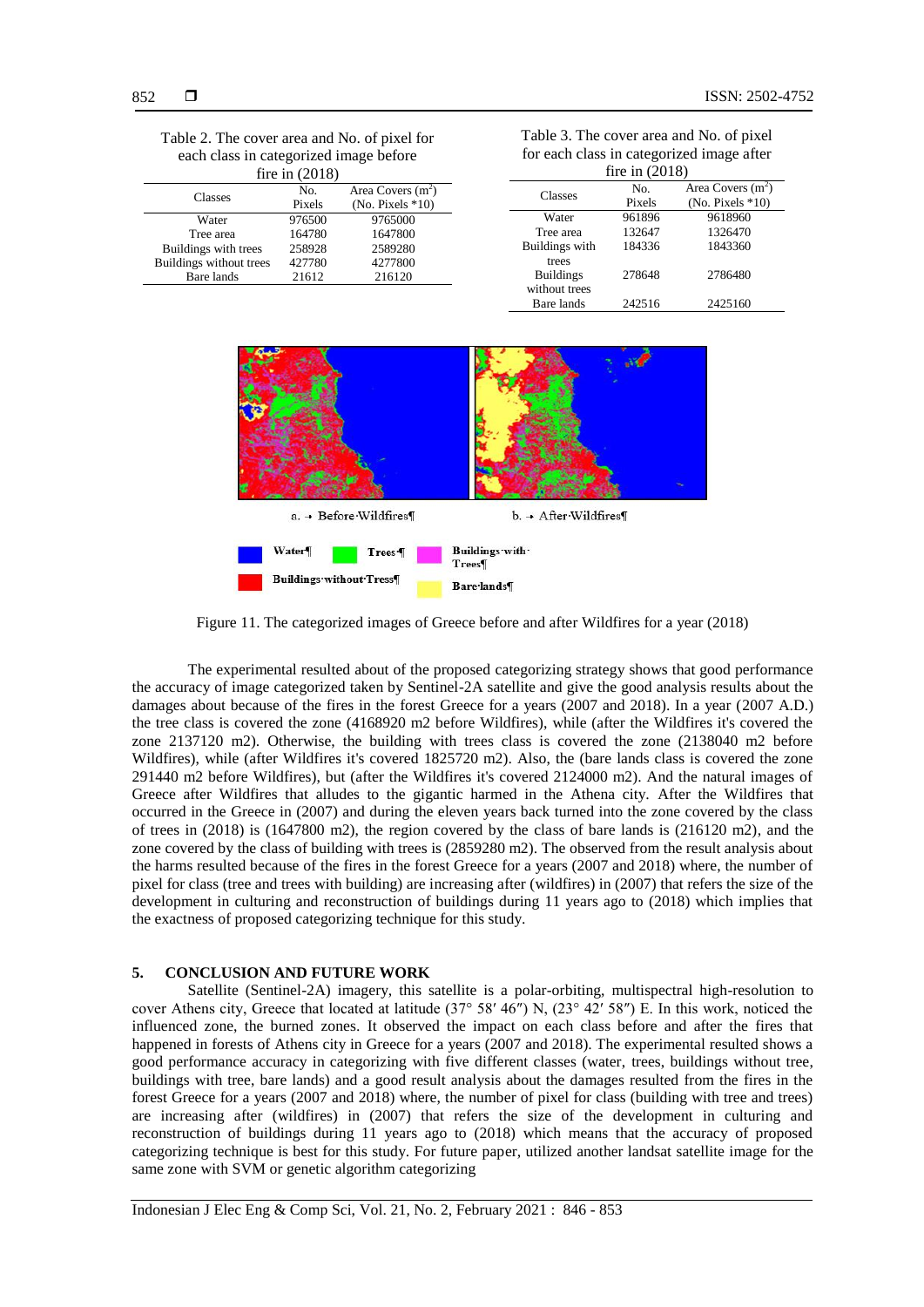| Table 2. The cover area and No. of pixel for |
|----------------------------------------------|
| each class in categorized image before       |
| fire in $(2018)$                             |

| $1110 \text{ m}$ (2010) |               |                                            |  |  |  |
|-------------------------|---------------|--------------------------------------------|--|--|--|
| Classes                 | No.<br>Pixels | Area Covers $(m^2)$<br>(No. Pixels $*10$ ) |  |  |  |
| Water                   | 976500        | 9765000                                    |  |  |  |
| Tree area               | 164780        | 1647800                                    |  |  |  |
| Buildings with trees    | 258928        | 2589280                                    |  |  |  |
| Buildings without trees | 427780        | 4277800                                    |  |  |  |
| Bare lands              | 21612         | 216120                                     |  |  |  |

| Table 3. The cover area and No. of pixel  |
|-------------------------------------------|
| for each class in categorized image after |
| fire in $(2018)$                          |

| $1110 \text{ H}$ $(2010)$ |        |                             |  |  |  |
|---------------------------|--------|-----------------------------|--|--|--|
| Classes                   | No.    | Area Covers $(m2)$          |  |  |  |
|                           | Pixels | $(No. \text{ Pixels } *10)$ |  |  |  |
| Water                     | 961896 | 9618960                     |  |  |  |
| Tree area                 | 132647 | 1326470                     |  |  |  |
| Buildings with            | 184336 | 1843360                     |  |  |  |
| trees                     |        |                             |  |  |  |
| <b>Buildings</b>          | 278648 | 2786480                     |  |  |  |
| without trees             |        |                             |  |  |  |
| Bare lands                | 242516 | 2425160                     |  |  |  |



Figure 11. The categorized images of Greece before and after Wildfires for a year (2018)

The experimental resulted about of the proposed categorizing strategy shows that good performance the accuracy of image categorized taken by Sentinel-2A satellite and give the good analysis results about the damages about because of the fires in the forest Greece for a years (2007 and 2018). In a year (2007 A.D.) the tree class is covered the zone (4168920 m2 before Wildfires), while (after the Wildfires it's covered the zone 2137120 m2). Otherwise, the building with trees class is covered the zone (2138040 m2 before Wildfires), while (after Wildfires it's covered 1825720 m2). Also, the (bare lands class is covered the zone 291440 m2 before Wildfires), but (after the Wildfires it's covered 2124000 m2). And the natural images of Greece after Wildfires that alludes to the gigantic harmed in the Athena city. After the Wildfires that occurred in the Greece in (2007) and during the eleven years back turned into the zone covered by the class of trees in (2018) is (1647800 m2), the region covered by the class of bare lands is (216120 m2), and the zone covered by the class of building with trees is (2859280 m2). The observed from the result analysis about the harms resulted because of the fires in the forest Greece for a years (2007 and 2018) where, the number of pixel for class (tree and trees with building) are increasing after (wildfires) in (2007) that refers the size of the development in culturing and reconstruction of buildings during 11 years ago to (2018) which implies that the exactness of proposed categorizing technique for this study.

#### **5. CONCLUSION AND FUTURE WORK**

Satellite (Sentinel-2A) imagery, this satellite is a polar-orbiting, multispectral high-resolution to cover Athens city, Greece that located at latitude (37° 58′ 46″) N, (23° 42′ 58″) E. In this work, noticed the influenced zone, the burned zones. It observed the impact on each class before and after the fires that happened in forests of Athens city in Greece for a years (2007 and 2018). The experimental resulted shows a good performance accuracy in categorizing with five different classes (water, trees, buildings without tree, buildings with tree, bare lands) and a good result analysis about the damages resulted from the fires in the forest Greece for a years (2007 and 2018) where, the number of pixel for class (building with tree and trees) are increasing after (wildfires) in (2007) that refers the size of the development in culturing and reconstruction of buildings during 11 years ago to (2018) which means that the accuracy of proposed categorizing technique is best for this study. For future paper, utilized another landsat satellite image for the same zone with SVM or genetic algorithm categorizing